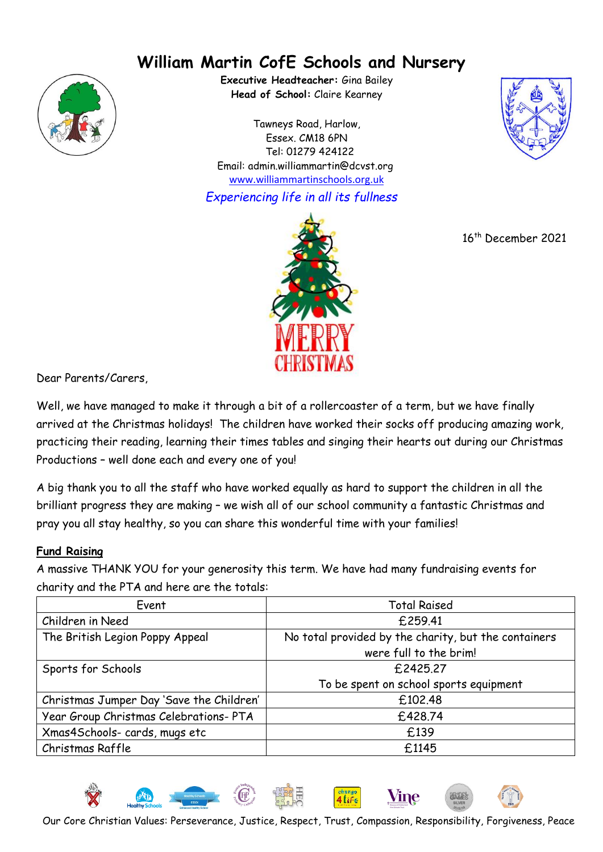# **William Martin CofE Schools and Nursery**



**Executive Headteacher:** Gina Bailey **Head of School:** Claire Kearney

Tawneys Road, Harlow, Essex. CM18 6PN Tel: 01279 424122 Email: admin.williammartin@dcvst.org www.williammartinschools.org.uk

*Experiencing life in all its fullness*



16 th December 2021



Dear Parents/Carers,

Well, we have managed to make it through a bit of a rollercoaster of a term, but we have finally arrived at the Christmas holidays! The children have worked their socks off producing amazing work, practicing their reading, learning their times tables and singing their hearts out during our Christmas Productions – well done each and every one of you!

A big thank you to all the staff who have worked equally as hard to support the children in all the brilliant progress they are making – we wish all of our school community a fantastic Christmas and pray you all stay healthy, so you can share this wonderful time with your families!

# **Fund Raising**

A massive THANK YOU for your generosity this term. We have had many fundraising events for charity and the PTA and here are the totals:

| Event                                    | <b>Total Raised</b>                                  |
|------------------------------------------|------------------------------------------------------|
| Children in Need                         | £259.41                                              |
| The British Legion Poppy Appeal          | No total provided by the charity, but the containers |
|                                          | were full to the brim!                               |
| Sports for Schools                       | £2425.27                                             |
|                                          | To be spent on school sports equipment               |
| Christmas Jumper Day 'Save the Children' | £102.48                                              |
| Year Group Christmas Celebrations- PTA   | £428.74                                              |
| Xmas4Schools- cards, mugs etc            | £139                                                 |
| Christmas Raffle                         | £1145                                                |



Our Core Christian Values: Perseverance, Justice, Respect, Trust, Compassion, Responsibility, Forgiveness, Peace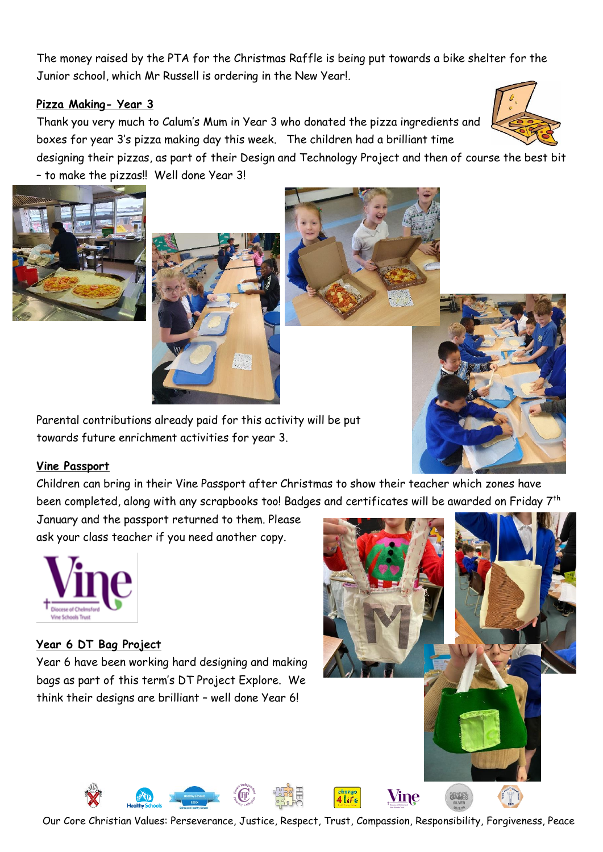The money raised by the PTA for the Christmas Raffle is being put towards a bike shelter for the Junior school, which Mr Russell is ordering in the New Year!.

# **Pizza Making- Year 3**

Thank you very much to Calum's Mum in Year 3 who donated the pizza ingredients and boxes for year 3's pizza making day this week. The children had a brilliant time

designing their pizzas, as part of their Design and Technology Project and then of course the best bit – to make the pizzas!! Well done Year 3!





Parental contributions already paid for this activity will be put towards future enrichment activities for year 3.

#### **Vine Passport**

Children can bring in their Vine Passport after Christmas to show their teacher which zones have been completed, along with any scrapbooks too! Badges and certificates will be awarded on Friday 7<sup>th</sup>

January and the passport returned to them. Please ask your class teacher if you need another copy.



# **Year 6 DT Bag Project**

Year 6 have been working hard designing and making bags as part of this term's DT Project Explore. We think their designs are brilliant – well done Year 6!





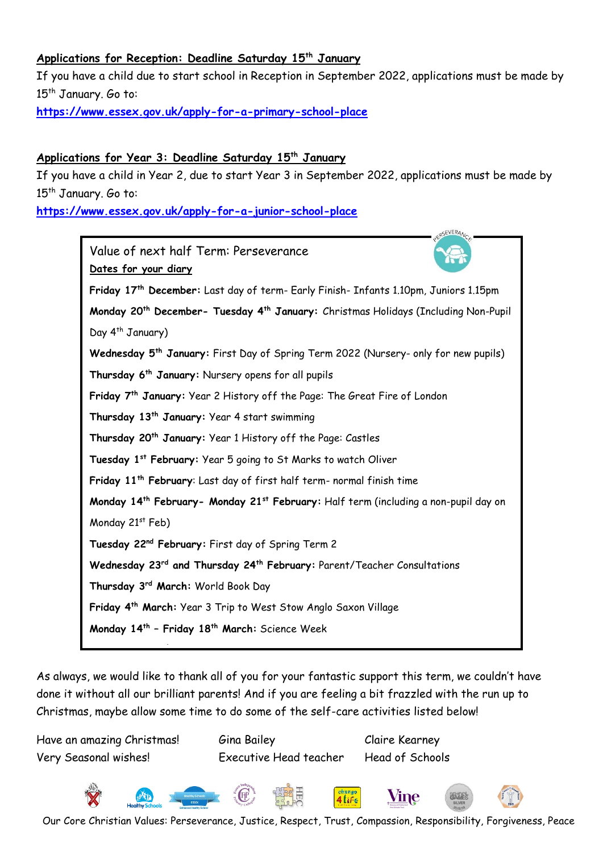#### **Applications for Reception: Deadline Saturday 15th January**

If you have a child due to start school in Reception in September 2022, applications must be made by 15<sup>th</sup> January. Go to:

**<https://www.essex.gov.uk/apply-for-a-primary-school-place>**

# **Applications for Year 3: Deadline Saturday 15th January**

If you have a child in Year 2, due to start Year 3 in September 2022, applications must be made by 15<sup>th</sup> January. Go to:

**<https://www.essex.gov.uk/apply-for-a-junior-school-place>**



As always, we would like to thank all of you for your fantastic support this term, we couldn't have done it without all our brilliant parents! And if you are feeling a bit frazzled with the run up to Christmas, maybe allow some time to do some of the self-care activities listed below! **Tuesday 19th April:** First day of Summer Term

Have an amazing Christmas! Gina Bailey Claire Kearney **Monday 9th- Friday 13th May:** Year 6 SATS WeekVery Seasonal wishes! Executive Head teacher Head of Schools



Our Core Christian Values: Perseverance, Justice, Respect, Trust, Compassion, Responsibility, Forgiveness, Peace